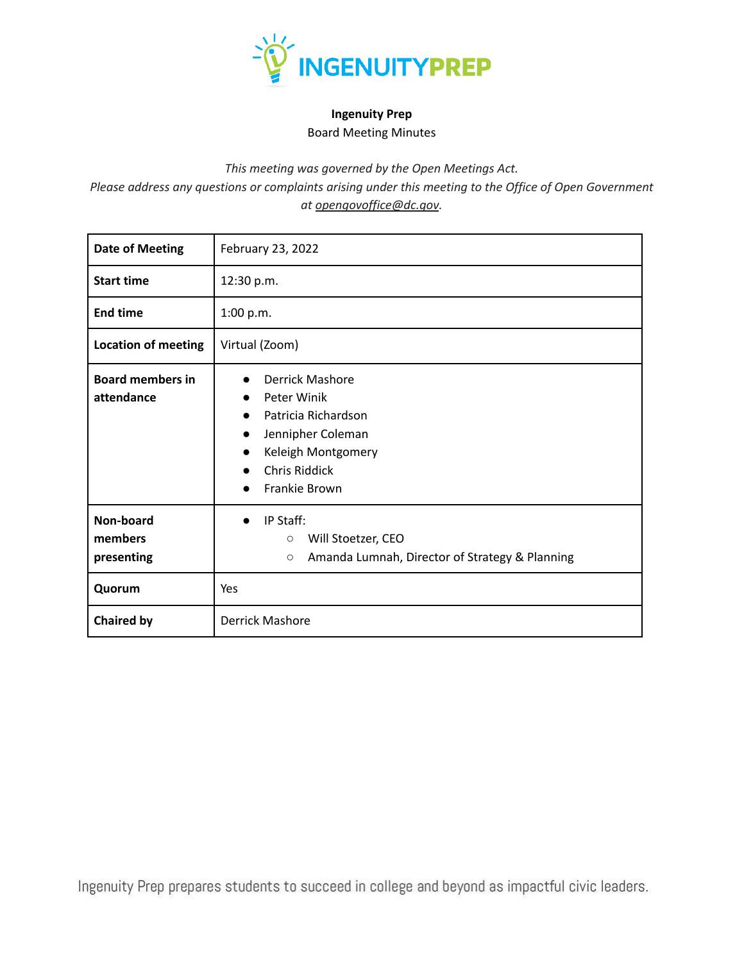

## **Ingenuity Prep** Board Meeting Minutes

*This meeting was governed by the Open Meetings Act.*

*Please address any questions or complaints arising under this meeting to the Office of Open Government at opengovoffice@dc.gov.*

| <b>Date of Meeting</b>                | February 23, 2022                                                                                                                                                                                         |  |  |
|---------------------------------------|-----------------------------------------------------------------------------------------------------------------------------------------------------------------------------------------------------------|--|--|
| <b>Start time</b>                     | 12:30 p.m.                                                                                                                                                                                                |  |  |
| <b>End time</b>                       | 1:00 p.m.                                                                                                                                                                                                 |  |  |
| <b>Location of meeting</b>            | Virtual (Zoom)                                                                                                                                                                                            |  |  |
| <b>Board members in</b><br>attendance | Derrick Mashore<br>Peter Winik<br>$\bullet$<br>Patricia Richardson<br>$\bullet$<br>Jennipher Coleman<br>$\bullet$<br>Keleigh Montgomery<br>$\bullet$<br><b>Chris Riddick</b><br>●<br><b>Frankie Brown</b> |  |  |
| Non-board<br>members<br>presenting    | IP Staff:<br>Will Stoetzer, CEO<br>$\circ$<br>Amanda Lumnah, Director of Strategy & Planning<br>$\circ$                                                                                                   |  |  |
| Quorum                                | Yes                                                                                                                                                                                                       |  |  |
| <b>Chaired by</b>                     | <b>Derrick Mashore</b>                                                                                                                                                                                    |  |  |

Ingenuity Prep prepares students to succeed in college and beyond as impactful civic leaders.